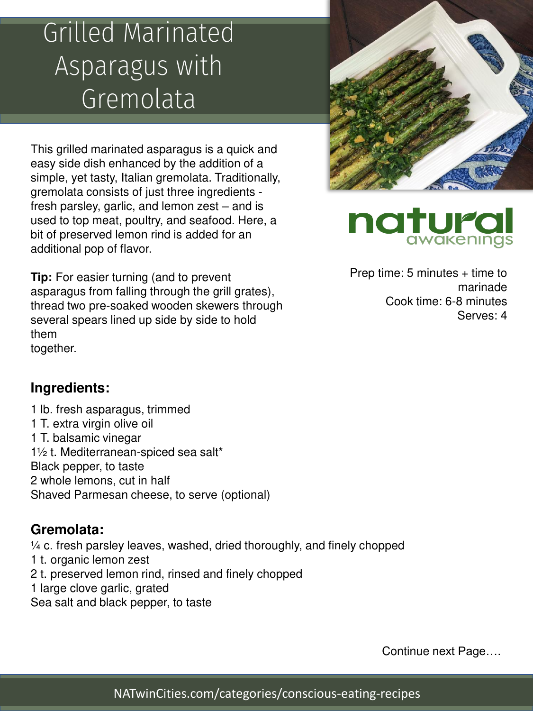## Grilled Marinated Asparagus with Gremolata

This grilled marinated asparagus is a quick and easy side dish enhanced by the addition of a simple, yet tasty, Italian gremolata. Traditionally, gremolata consists of just three ingredients fresh parsley, garlic, and lemon zest – and is used to top meat, poultry, and seafood. Here, a bit of preserved lemon rind is added for an additional pop of flavor.

**Tip:** For easier turning (and to prevent asparagus from falling through the grill grates), thread two pre-soaked wooden skewers through several spears lined up side by side to hold them together.





Prep time:  $5$  minutes  $+$  time to marinade Cook time: 6-8 minutes Serves: 4

#### **Ingredients:**

1 lb. fresh asparagus, trimmed 1 T. extra virgin olive oil 1 T. balsamic vinegar 1½ t. Mediterranean-spiced sea salt\* Black pepper, to taste 2 whole lemons, cut in half Shaved Parmesan cheese, to serve (optional)

#### **Gremolata:**

¼ c. fresh parsley leaves, washed, dried thoroughly, and finely chopped 1 t. organic lemon zest 2 t. preserved lemon rind, rinsed and finely chopped 1 large clove garlic, grated Sea salt and black pepper, to taste

Continue next Page….